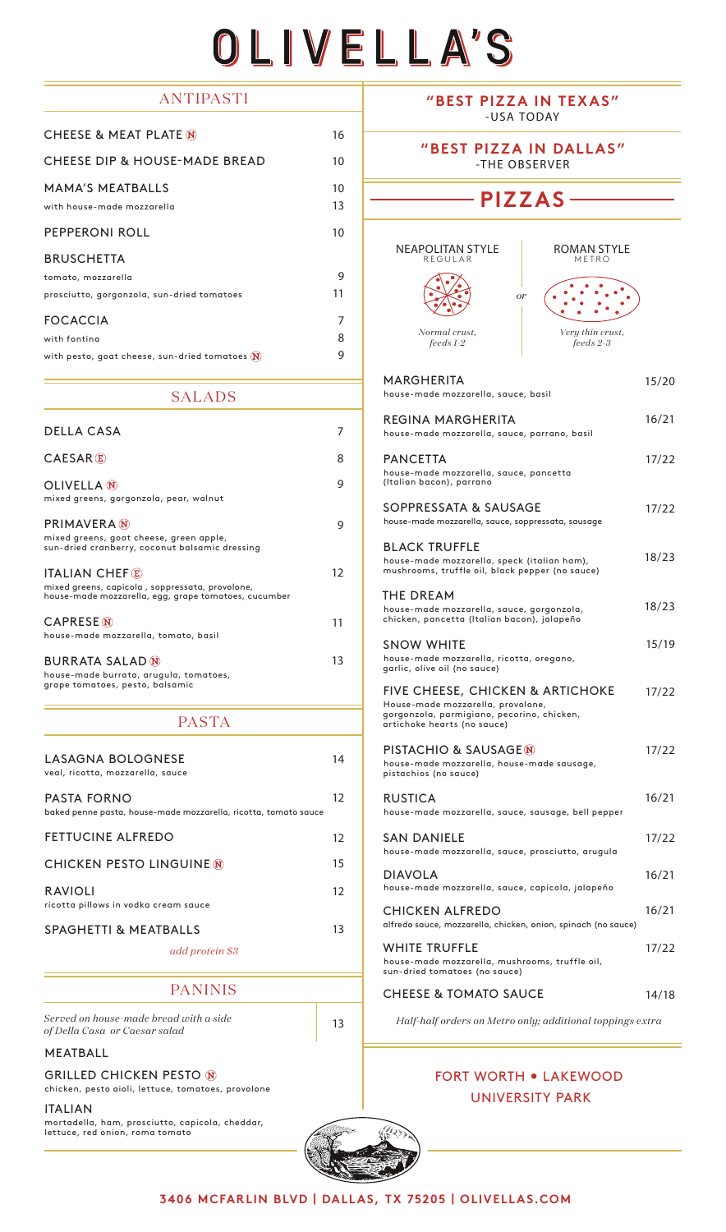# OLIVELLA'S

# **ANTIPASTI**

| <b>CHEESE &amp; MEAT PLATE M</b>                      | 16       |
|-------------------------------------------------------|----------|
| <b>CHEESE DIP &amp; HOUSE-MADE BREAD</b>              | 10       |
| <b>MAMA'S MEATBALLS</b><br>with house-made mozzarella | 10<br>13 |
| PEPPERONI ROLL                                        | 10       |
| <b>BRUSCHETTA</b>                                     |          |
| tomato, mozzarella                                    | 9        |
| prosciutto, gorgonzola, sun-dried tomatoes            | 11       |
| <b>FOCACCIA</b>                                       | 7        |
| with fontina                                          | 8        |
| with pesto, goat cheese, sun-dried tomatoes $(N)$     | 9        |

#### SALADS

| <b>DELLA CASA</b>                                                                                                                |    |
|----------------------------------------------------------------------------------------------------------------------------------|----|
| CAESAR(E)                                                                                                                        | 8  |
| <b>OLIVELLA</b> N<br>mixed greens, gorgonzola, pear, walnut                                                                      | 9  |
| <b>PRIMAVERA</b> (N)<br>mixed greens, goat cheese, green apple,<br>sun-dried cranberry, coconut balsamic dressing                | g  |
| <b>ITALIAN CHEF E</b><br>mixed greens, capicola, soppressata, provolone,<br>house-made mozzarella, egg, grape tomatoes, cucumber | 12 |
| <b>CAPRESE</b> <sub>N</sub><br>house-made mozzarella, tomato, basil                                                              | 11 |
| <b>BURRATA SALAD N</b><br>house-made burrata, arugula, tomatoes,<br>grape tomatoes, pesto, balsamic                              | 13 |

### PASTA

| LASAGNA BOLOGNESE<br>veal, ricotta, mozzarella, sauce                                 | 14 |
|---------------------------------------------------------------------------------------|----|
| <b>PASTA FORNO</b><br>baked penne pasta, house-made mozzarella, ricotta, tomato sauce | 12 |
| <b>FETTUCINE ALFREDO</b>                                                              | 12 |
| <b>CHICKEN PESTO LINGUINE M</b>                                                       | 15 |
| <b>RAVIOLI</b><br>ricotta pillows in vodka cream sauce                                | 12 |
| <b>SPAGHETTI &amp; MEATBALLS</b>                                                      | 13 |
| add protein \$3                                                                       |    |

## **PANINIS**

*Served on house-made bread with a side of Della Casa or Caesar salad* <sup>13</sup>

#### MEATBALL

GRILLED CHICKEN PESTO

chicken, pesto aioli, lettuce, tomatoes, provolone

ITALIAN mortadella, ham, prosciutto, capicola, cheddar, lettuce, red onion, roma tomato

**"BEST PIZZA IN TEXAS"** -USA TODAY

**"BEST PIZZA IN DALLAS"** -THE OBSERVER

# **PIZZAS**

*or*

NEAPOLITAN STYLE REGULAR



house-made mozzarella, sauce, basil

MARGHERITA



15/20

REGINA MARGHERITA house-made mozzarella, sauce, parrano, basil PANCETTA house-made mozzarella, sauce, pancetta (Italian bacon), parrano SOPPRESSATA & SAUSAGE house-made mozzarella, sauce, soppressata, sausage BLACK TRUFFLE house-made mozzarella, speck (italian ham), mushrooms, truffle oil, black pepper (no sauce) THE DREAM house-made mozzarella, sauce, gorgonzola, chicken, pancetta (Italian bacon), jalapeño SNOW WHITE house-made mozzarella, ricotta, oregano, garlic, olive oil (no sauce) FIVE CHEESE, CHICKEN & ARTICHOKE House-made mozzarella, provolone, gorgonzola, parmigiano, pecorino, chicken, artichoke hearts (no sauce) PISTACHIO & SAUSAGE house-made mozzarella, house-made sausage, pistachios (no sauce) RUSTICA house-made mozzarella, sauce, sausage, bell pepper SAN DANIELE house-made mozzarella, sauce, prosciutto, arugula DIAVOLA house-made mozzarella, sauce, capicola, jalapeño CHICKEN ALFREDO alfredo sauce, mozzarella, chicken, onion, spinach (no sauce) WHITE TRUFFLE house-made mozzarella, mushrooms, truffle oil, sun-dried tomatoes (no sauce) 16/21 17/22 17/22 18/23 18/23 15/19 17/22 17/22 16/21 17/22 16/21 16/21 17/22

#### CHEESE & TOMATO SAUCE 14/18

*Half-half orders on Metro only; additional toppings extra*

# FORT WORTH • LAKEWOOD UNIVERSITY PARK